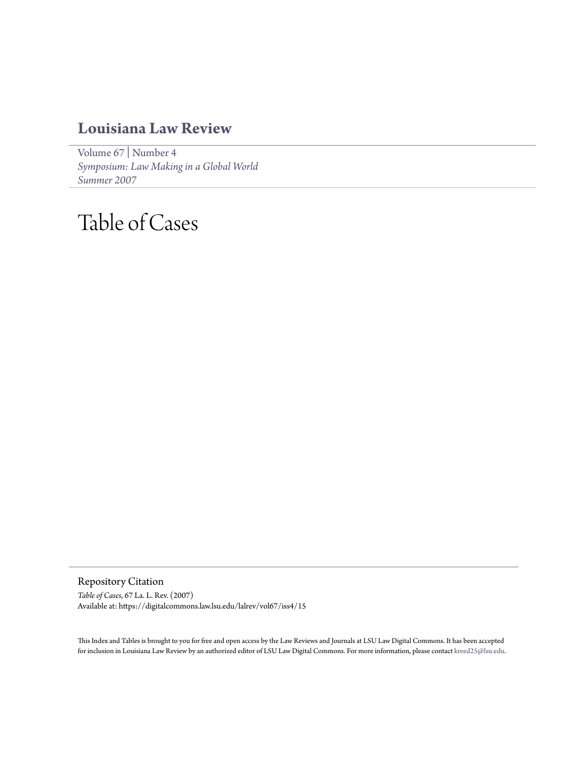## **[Louisiana Law Review](https://digitalcommons.law.lsu.edu/lalrev)**

[Volume 67](https://digitalcommons.law.lsu.edu/lalrev/vol67) | [Number 4](https://digitalcommons.law.lsu.edu/lalrev/vol67/iss4) *[Symposium: Law Making in a Global World](https://digitalcommons.law.lsu.edu/lalrev/vol67/iss4) [Summer 2007](https://digitalcommons.law.lsu.edu/lalrev/vol67/iss4)*

## Table of Cases

Repository Citation *Table of Cases*, 67 La. L. Rev. (2007) Available at: https://digitalcommons.law.lsu.edu/lalrev/vol67/iss4/15

This Index and Tables is brought to you for free and open access by the Law Reviews and Journals at LSU Law Digital Commons. It has been accepted for inclusion in Louisiana Law Review by an authorized editor of LSU Law Digital Commons. For more information, please contact [kreed25@lsu.edu](mailto:kreed25@lsu.edu).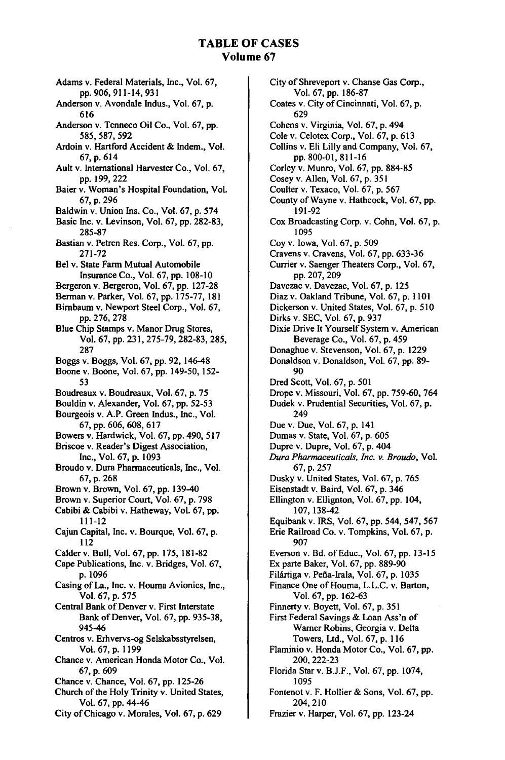## **TABLE OF CASES Volume 67**

Adams v. Federal Materials, Inc., Vol. **67, pp. 906,** 911-14, **931** Anderson v. Avondale Indus., Vol. **67, p. 616** Anderson v. Tenneco Oil Co., Vol. **67, pp.** 585,587, **592** Ardoin v. Hartford Accident & Indem., Vol. 67, p. 614 Ault v. International Harvester Co., Vol. 67, pp. 199,222 Baier v. Woman's Hospital Foundation, Vol. 67, p. 296 Baldwin v. Union Ins. Co., Vol. 67, p. 574 Basic Inc. v. Levinson, Vol. 67, **pp.** 282-83, 285-87 Bastian v. Petren Res. Corp., Vol. 67, pp. 271-72 Bel v. State Farm Mutual Automobile Insurance Co., Vol. 67, pp. 108-10 Bergeron v. Bergeron, Vol. **67,** pp. 127-28 Berman v. Parker, Vol. 67, pp. 175-77, 181 Bimbaum v. Newport Steel Corp., Vol. 67, pp. 276, 278 Blue Chip Stamps v. Manor Drug Stores, Vol. 67, pp. 231, 275-79, 282-83, 285, 287 Boggs v. Boggs, Vol. 67, pp. 92, 146-48 Boone v. Boone, Vol. 67, pp. 149-50, 152- 53 Boudreaux v. Boudreaux, Vol. 67, p. 75 Bouldin v. Alexander, Vol. 67, pp. 52-53 Bourgeois v. A.P. Green Indus., Inc., Vol. 67, pp. 606, 608, 617 Bowers v. Hardwick, Vol. 67, pp. 490, 517 Briscoe v. Reader's Digest Association, Inc., Vol. 67, p. 1093 Broudo v. Dura Pharmaceuticals, Inc., Vol. 67, p. 268 Brown v. Brown, Vol. 67, pp. 139-40 Brown v. Superior Court, Vol. 67, p. 798 Cabibi & Cabibi v. Hatheway, Vol. 67, pp. 111-12 Cajun Capital, Inc. v. Bourque, Vol. 67, p. 112 Calder v. Bull, Vol. 67, pp. 175, 181-82 Cape Publications, Inc. v. Bridges, Vol. 67, p. 1096 Casing of La., Inc. v. Houma Avionics, Inc., Vol. 67, p. 575 Central Bank of Denver v. First Interstate Bank of Denver, Vol. 67, pp. 935-38, 945-46 Centros v. Erhvervs-og Selskabsstyrelsen, Vol. 67, p. 1199 Chance v. American Honda Motor Co., Vol. 67, p. 609 Chance v. Chance, Vol. 67, pp. 125-26 Church of the Holy Trinity v. United States, Vol. 67, pp. 44-46

City of Shreveport v. Chanse Gas Corp., Vol. 67, pp. 186-87 Coates v. City of Cincinnati, Vol. 67, p. 629 Cohens v. Virginia, Vol. 67, p. 494 Cole v. Celotex Corp., Vol. 67, p. 613 Collins v. Eli Lilly and Company, Vol. 67, pp. 800-01, 811-16 Corley v. Munro, Vol. 67, pp. 884-85 Cosey v. Allen, Vol. 67, p. 351 Coulter v. Texaco, Vol. 67, p. 567 County of Wayne v. Hathcock, Vol. 67, pp. 191-92 Cox Broadcasting Corp. v. Cohn, Vol. 67, p. 1095 Coy v. Iowa, Vol. 67, p. 509 Cravens v. Cravens, Vol. 67, pp. 633-36 Currier v. Saenger Theaters Corp., Vol. 67, pp. 207, 209 Davezac v. Davezac, Vol. 67, p. 125 Diaz v. Oakland Tribune, Vol. 67, p. 1101 Dickerson v. United States, Vol. 67, p. 510 Dirks v. SEC, Vol. 67, p. 937 Dixie Drive It Yourself System v. American Beverage Co., Vol. 67, p. 459 Donaghue v. Stevenson, Vol. 67, p. 1229 Donaldson v. Donaldson, Vol. 67, pp. 89- 90 Dred Scott, Vol. 67, p. 501 Drope v. Missouri, Vol. 67, pp. 759-60, 764 Dudek v. Prudential Securities, Vol. 67, p. 249 Due v. Due, Vol. 67, p. 141 Dumas v. State, Vol. 67, p. 605 Dupre v. Dupre, Vol. 67, p. 404 *Dura Pharmaceuticals, Inc. v. Broudo,* Vol. 67, p. 257 Dusky v. United States, Vol. 67, p. 765 Eisenstadt v. Baird, Vol. 67, p. 346 Ellington v. Ellignton, Vol. 67, pp. 104, 107, 138-42 Equibank v. IRS, Vol. 67, pp. 544, 547, 567 Erie Railroad Co. v. Tompkins, Vol. 67, p. 907 Everson v. Bd. of Educ., Vol. 67, pp. 13-15 Ex parte Baker, Vol. 67, pp. 889-90 Filártiga v. Peña-Irala, Vol. 67, p. 1035 Finance One of Houma, L.L.C. v. Barton, Vol. 67, pp. 162-63 Finnerty v. Boyett, Vol. 67, p. 351 First Federal Savings & Loan Ass'n of Warner Robins, Georgia v. Delta Towers, Ltd., Vol. 67, p. 116 Flaminio v. Honda Motor Co., Vol. 67, pp. 200, 222-23 Florida Star v. B.J.F., Vol. 67, pp. 1074, 1095 Fontenot v. F. Hollier & Sons, Vol. 67, pp. 204,210 Frazier v. Harper, Vol. 67, pp. 123-24

City of Chicago v. Morales, Vol. 67, p. 629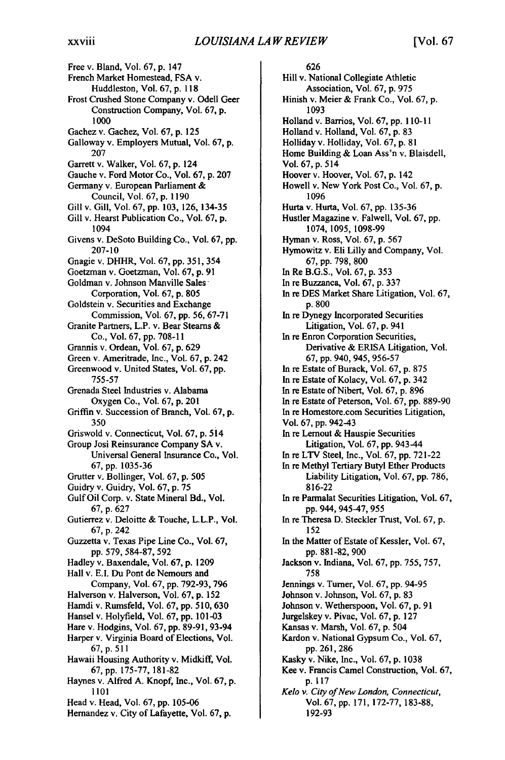Free v. Bland, Vol. 67, p. 147 French Market Homestead, FSA v. Huddleston, Vol. 67, p. 118 Frost Crushed Stone Company v. Odell Geer Construction Company, Vol. 67, p. **1000** Gachez v. Gachez, Vol. 67, p. 125 Galloway v. Employers Mutual, Vol. 67, p. 207 Garrett v. Walker, Vol. 67, p. 124 Gauche v. Ford Motor Co., Vol. 67, p. 207 Germany v. European Parliament & Council, Vol. 67, p. 1190 Gill v. Gill, Vol. 67, pp. 103, 126, 134-35 Gill v. Hearst Publication Co., Vol. 67, p. 1094 Givens v. DeSoto Building Co., Vol. 67, pp. 207-10 Gnagie v. DHHR, Vol. 67, pp. 351, 354 Goetzman v. Goetzman, Vol. 67, p. 91 Goldman v. Johnson Manville Sales Corporation, Vol. 67, p. 805 Goldstein v. Securities and Exchange Commission, Vol. 67, pp. 56, 67-71 Granite Partners, L.P. v. Bear Steams & Co., Vol. 67, pp. 708-11 Grannis v. Ordean, Vol. 67, p. 629 Green v. Ameritrade, Inc., Vol. 67, p. 242 Greenwood v. United States, Vol. 67, pp. 755-57 Grenada Steel Industries v. Alabama Oxygen Co., Vol. 67, p. 201 Griffin v. Succession of Branch, Vol. 67, p. **350** Griswold v. Connecticut, Vol. 67, p. 514 Group Josi Reinsurance Company SA v. Universal General Insurance Co., Vol. 67, pp. 1035-36 Grutter v. Bollinger, Vol. 67, p. 505 Guidry v. Guidry, Vol. 67, p. 75 Gulf Oil Corp. v. State Mineral Bd., Vol. 67, p. 627 Gutierrez v. Deloitte & Touche, L.L.P., Vol. 67, p. 242 Guzzetta v. Texas Pipe Line Co., Vol. **67,** pp. 579, 584-87, 592 Hadley v. Baxendale, Vol. **67,** p. 1209 Hall v. **E.I.** Du Pont de Nemours and Company, Vol. **67,** pp. 792-93, 796 Halverson v. Halverson, Vol. **67,** p. 152 Hamdi v. Rumsfeld, Vol. **67,** pp. 510, 630 Hansel v. Holyfield, Vol. **67,** pp. 101-03 Hare v. Hodgins, Vol. **67,** pp. 89-91, 93-94 Harper v. Virginia Board of Elections, Vol. **67,** p. 511 Hawaii Housing Authority v. Midkiff, Vol. **67,** pp. 175-77, 181-82 Haynes v. Alfred A. Knopf, Inc., Vol. **67,** p. 1101 Head v. Head, Vol. **67,** pp. 105-06 Hernandez v. City of Lafayette, Vol. **67,** p.

626 Hill v. National Collegiate Athletic Association, Vol. 67, p. 975 Hinish v. Meier & Frank Co., Vol. 67, p. 1093 Holland v. Barrios, Vol. 67, pp. 110-11 Holland v. Holland, Vol. 67, p. 83 Holliday v. Holliday, Vol. 67, p. 81 Home Building & Loan Ass'n v. Blaisdell, Vol. 67, p. 514 Hoover v. Hoover, Vol. 67, p. 142 Howell v. New York Post Co., Vol. 67, p. 1096 Hurta v. Hurta, Vol. 67, pp. 135-36 Hustler Magazine v. Falwell, Vol. 67, pp. 1074, 1095, 1098-99 Hyman v. Ross, Vol. 67, p. 567 Hymowitz v. Eli Lilly and Company, Vol. 67, pp. 798, 800 In Re B.G.S., Vol. 67, p. 353 In re Buzzanca, Vol. 67, p. 337 In re DES Market Share Litigation, Vol. 67, p. 800 In re Dynegy Incorporated Securities Litigation, Vol. **67, p.** 941 In re Enron Corporation Securities, Derivative **&** ERISA Litigation, Vol. **67, pp.** 940, 945, **956-57** In re Estate of Burack, Vol. **67, p. 875** In re Estate of Kolacy, Vol. **67, p.** 342 In re Estate of Nibert, Vol. **67, p. 896** In re Estate of Peterson, Vol. **67, pp. 889-90** In re Homestore.com Securities Litigation, Vol. **67, pp.** 942-43 In re Lemout **&** Hauspie Securities Litigation, Vol. **67, pp.** 943-44 In re LTV Steel, Inc., Vol. **67, pp. 721-22** In re Methyl Tertiary Butyl Ether Products Liability Litigation, Vol. **67, pp. 786, 816-22** In re Parmalat Securities Litigation, Vol. **67,** pp. 944, 945-47, 955 In re Theresa **D.** Steckler Trust, Vol. 67, p. 152 In the Matter of Estate of Kessler, Vol. 67, pp. 881-82, 900 Jackson v. Indiana, Vol. 67, pp. 755, 757, 758 Jennings v. Turner, Vol. 67, pp. 94-95 Johnson v. Johnson, Vol. 67, p. 83 Johnson v. Wetherspoon, Vol. 67, p. 91 Jurgelskey v. Pivac, Vol. 67, p. 127 Kansas v. Marsh, Vol. 67, p. 504 Kardon v. National Gypsum Co., Vol. 67, pp.261,286 Kasky v. Nike, Inc., Vol. 67, p. 1038 Kee v. Francis Camel Construction, Vol. 67, p. 117 *Kelo v. City of New London, Connecticut,* Vol. 67, pp. 171, 172-77, 183-88, 192-93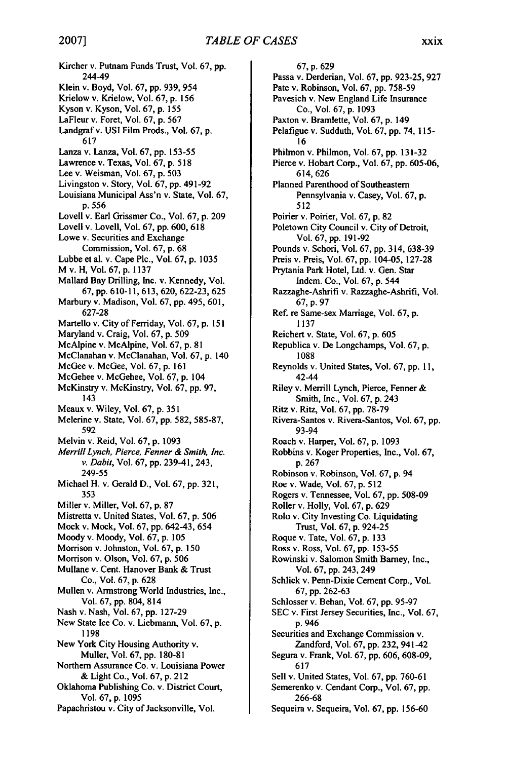Kircher v. Putnam Funds Trust, Vol. **67,** pp. 244-49 Klein v. Boyd, Vol. 67, pp. 939, 954 Krielow v. Krielow, Vol. 67, p. 156 Kyson v. Kyson, Vol. 67, p. 155 LaFleur v. Foret, Vol. 67, p. 567 Landgraf v. USI Film Prods., Vol. 67, p. 617 Lanza v. Lanza, Vol. 67, pp. 153-55 Lawrence v. Texas, Vol. 67, p. 518 Lee v. Weisman, Vol. 67, p. 503 Livingston v. Story, Vol. 67, pp. 491-92 Louisiana Municipal Ass'n v. State, Vol. 67, p. 556 Lovell v. Earl Grissmer Co., Vol. 67, p. 209 Lovell v. Lovell, Vol. 67, pp. 600, 618 Lowe v. Securities and Exchange Commission, Vol. 67, p. 68 Lubbe et al. v. Cape Plc., Vol. 67, p. 1035 M v. H, Vol. 67, p. 1137 Mallard Bay Drilling, Inc. v. Kennedy, Vol. 67, pp. 610-11, 613, 620, 622-23, 625 Marbury v. Madison, Vol. 67, pp. 495, 601, 627-28 Martello v. City of Ferriday, Vol. 67, p. **151** Maryland v. Craig, Vol. 67, p. 509 McAlpine v. McAlpine, Vol. 67, p. 81 McClanahan v. McClanahan, Vol. 67, p. 140 McGee v. McGee, Vol. 67, p. 161 McGehee v. McGehee, Vol. 67, p. 104 McKinstry v. McKinstry, Vol. 67, pp. 97, 143 Meaux v. Wiley, Vol. 67, p. 351 Melerine v. State, Vol. 67, pp. 582, 585-87, 592 Melvin v. Reid, Vol. 67, p. 1093 *Merrill Lynch, Pierce, Fenner & Smith, Inc. v. Dabit,* Vol. 67, pp. 239-41,243, 249-55 Michael H. v. Gerald D., Vol. 67, pp. 321, 353 Miller v. Miller, Vol. 67, p. 87 Mistretta v. United States, Vol. 67, p. 506 Mock v. Mock, Vol. 67, pp. 642-43, 654 Moody v. Moody, Vol. 67, p. 105 Morrison v. Johnston, Vol. 67, p. **150** Morrison v. Olson, Vol. 67, p. 506 Mullane v. Cent. Hanover Bank & Trust Co., Vol. 67, p. 628 Mullen v. Armstrong World Industries, Inc., Vol. 67, pp. 804, 814 Nash v. Nash, Vol. 67, pp. 127-29 New State Ice Co. v. Liebmann, Vol. 67, p. **1198** New York City Housing Authority v. Muller, Vol. 67, pp. 180-81 Northern Assurance Co. v. Louisiana Power & Light Co., Vol. 67, p. <sup>2</sup> <sup>12</sup> Oklahoma Publishing Co. v. District Court, Vol. 67, p. 1095 Papachristou v. City of Jacksonville, Vol.

**67,** p. 629 Passa v. Derderian, Vol. 67, pp. 923-25, 927 Pate v. Robinson, Vol. 67, pp. 758-59 Pavesich v. New England Life Insurance Co., Vol. 67, p. 1093 Paxton v. Bramlette, Vol. 67, p. 149 Pelafigue v. Sudduth, Vol. 67, pp. 74, 115- 16 Philmon v. Philmon, Vol. 67, pp. 131-32 Pierce v. Hobart Corp., Vol. 67, pp. 605-06, 614, 626 Planned Parenthood of Southeastern Pennsylvania v. Casey, Vol. 67, p. 512 Poirier v. Poirier, Vol. 67, p. 82 Poletown City Council v. City of Detroit, Vol. 67, pp. 191-92 Pounds v. Schori, Vol. 67, pp. 314, 638-39 Preis v. Preis, Vol. 67, pp. 104-05, 127-28 Prytania Park Hotel, Ltd. v. Gen. Star Indem. Co., Vol. 67, p. 544 Razzaghe-Ashrifi v. Razzaghe-Ashrifi, Vol. 67, p. 97 Ref. re Same-sex Marriage, Vol. 67, p. **1137** Reichert v. State, Vol. 67, p. 605 Republica v. De Longchamps, Vol. 67, p. 1088 Reynolds v. United States, Vol. 67, pp. 11, 42-44 Riley v. Merrill Lynch, Pierce, Fenner & Smith, Inc., Vol. 67, p. 243 Ritz v. Ritz, Vol. 67, pp. 78-79 Rivera-Santos v. Rivera-Santos, Vol. 67, pp. 93-94 Roach v. Harper, Vol. 67, p. 1093 Robbins v. Koger Properties, Inc., Vol. 67, p. 267 Robinson v. Robinson, Vol. 67, p. 94 Roe v. Wade, Vol. 67, p. 512 Rogers v. Tennessee, Vol. 67, pp. 508-09 Roller v. Holly, Vol. 67, p. 629 Rolo v. City Investing Co. Liquidating Trust, Vol. 67, p. 924-25 Roque v. Tate, Vol. 67, p. 133 Ross v. Ross, Vol. 67, pp. 153-55 Rowinski v. Salomon Smith Barney, Inc., Vol. 67, pp. 243, 249 Schlick v. Penn-Dixie Cement Corp., Vol. 67, pp. 262-63 Schlosser v. Behan, Vol. 67, pp. 95-97 SEC v. First Jersey Securities, Inc., Vol. 67, p. 946 Securities and Exchange Commission v. Zandford, Vol. 67, pp. 232, 941-42 Segura v. Frank, Vol. 67, pp. 606, 608-09, 617 Sell v. United States, Vol. 67, pp. 760-61 Semerenko v. Cendant Corp., Vol. 67, pp. 266-68 Sequeira v. Sequeira, Vol. 67, pp. 156-60